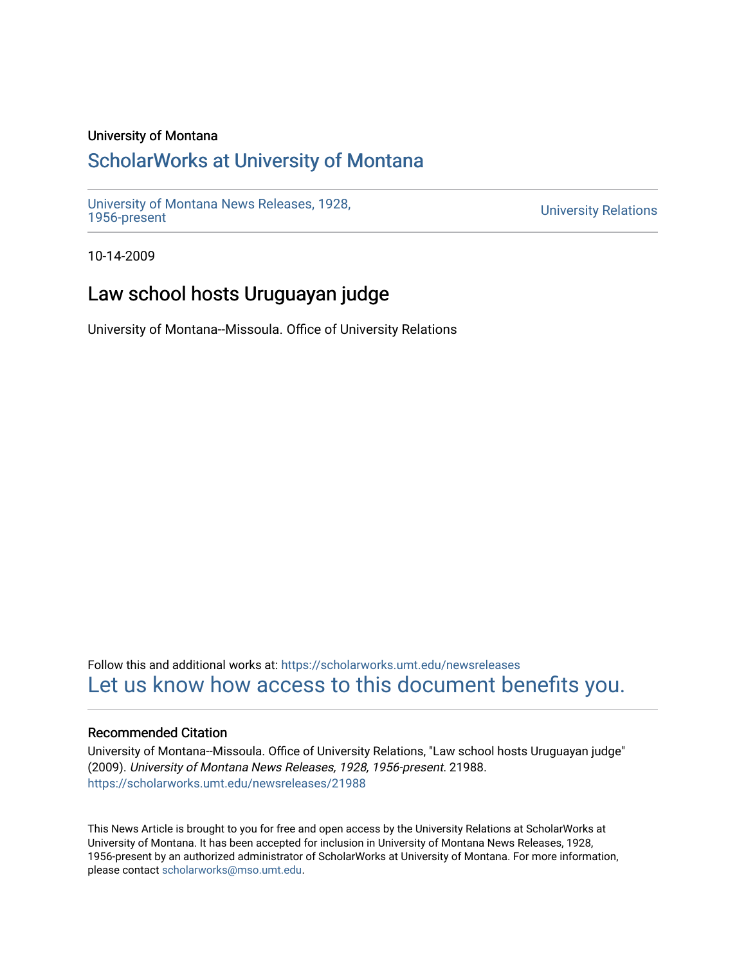## University of Montana

## [ScholarWorks at University of Montana](https://scholarworks.umt.edu/)

[University of Montana News Releases, 1928,](https://scholarworks.umt.edu/newsreleases) 

**University Relations** 

10-14-2009

# Law school hosts Uruguayan judge

University of Montana--Missoula. Office of University Relations

Follow this and additional works at: [https://scholarworks.umt.edu/newsreleases](https://scholarworks.umt.edu/newsreleases?utm_source=scholarworks.umt.edu%2Fnewsreleases%2F21988&utm_medium=PDF&utm_campaign=PDFCoverPages) [Let us know how access to this document benefits you.](https://goo.gl/forms/s2rGfXOLzz71qgsB2) 

### Recommended Citation

University of Montana--Missoula. Office of University Relations, "Law school hosts Uruguayan judge" (2009). University of Montana News Releases, 1928, 1956-present. 21988. [https://scholarworks.umt.edu/newsreleases/21988](https://scholarworks.umt.edu/newsreleases/21988?utm_source=scholarworks.umt.edu%2Fnewsreleases%2F21988&utm_medium=PDF&utm_campaign=PDFCoverPages) 

This News Article is brought to you for free and open access by the University Relations at ScholarWorks at University of Montana. It has been accepted for inclusion in University of Montana News Releases, 1928, 1956-present by an authorized administrator of ScholarWorks at University of Montana. For more information, please contact [scholarworks@mso.umt.edu.](mailto:scholarworks@mso.umt.edu)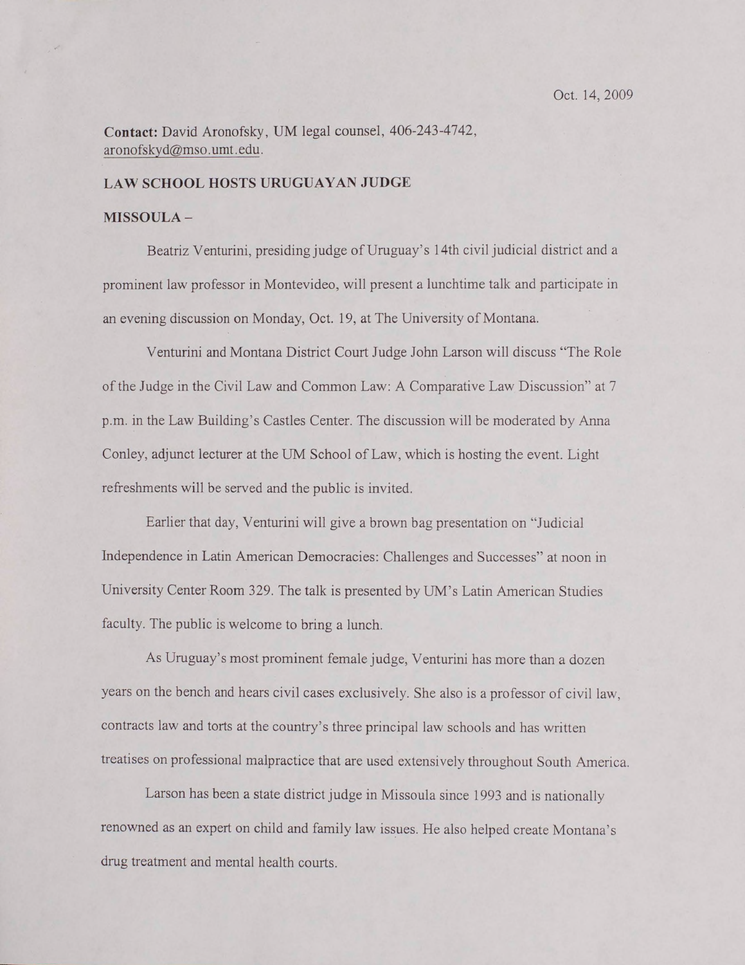**Contact:** David Aronofsky, UM legal counsel, 406-243-4742, aronofsky d@mso. umt. edu.

#### **LAW SCHOOL HOSTS URUGUAYAN JUDGE**

### **MISSOULA-**

Beatriz Venturini, presiding judge of Uruguay's 14th civil judicial district and a prominent law professor in Montevideo, will present a lunchtime talk and participate in an evening discussion on Monday, Oct. 19, at The University of Montana.

Venturini and Montana District Court Judge John Larson will discuss "The Role of the Judge in the Civil Law and Common Law: A Comparative Law Discussion" at 7 p.m. in the Law Building's Castles Center. The discussion will be moderated by Anna Conley, adjunct lecturer at the UM School of Law, which is hosting the event. Light refreshments will be served and the public is invited.

Earlier that day, Venturini will give a brown bag presentation on "Judicial Independence in Latin American Democracies: Challenges and Successes" at noon in University Center Room 329. The talk is presented by UM's Latin American Studies faculty. The public is welcome to bring a lunch.

As Uruguay's most prominent female judge, Venturini has more than a dozen years on the bench and hears civil cases exclusively. She also is a professor of civil law, contracts law and torts at the country's three principal law schools and has written treatises on professional malpractice that are used extensively throughout South America.

Larson has been a state district judge in Missoula since 1993 and is nationally renowned as an expert on child and family law issues. He also helped create Montana's drug treatment and mental health courts.